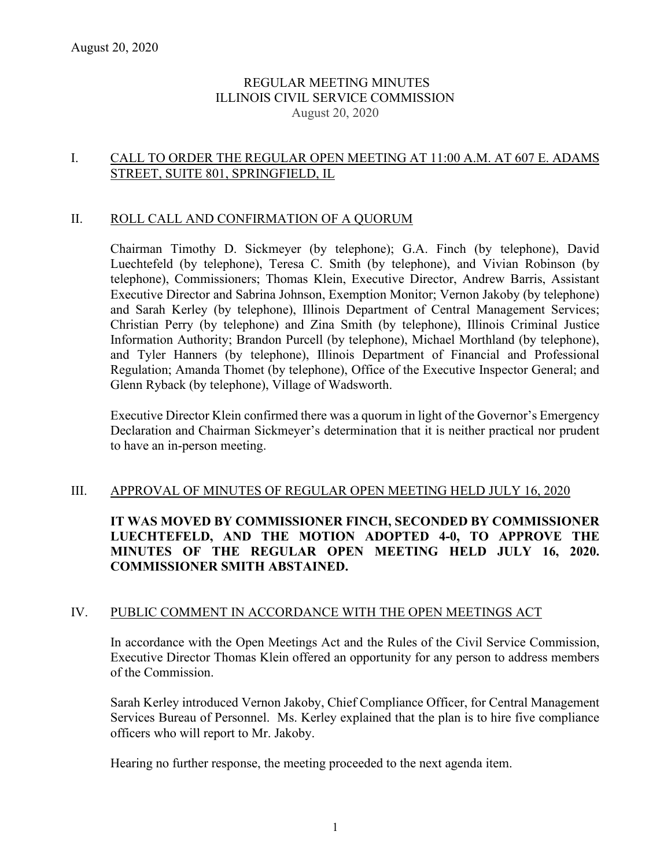## REGULAR MEETING MINUTES ILLINOIS CIVIL SERVICE COMMISSION August 20, 2020

## I. CALL TO ORDER THE REGULAR OPEN MEETING AT 11:00 A.M. AT 607 E. ADAMS STREET, SUITE 801, SPRINGFIELD, IL

### II. ROLL CALL AND CONFIRMATION OF A QUORUM

Chairman Timothy D. Sickmeyer (by telephone); G.A. Finch (by telephone), David Luechtefeld (by telephone), Teresa C. Smith (by telephone), and Vivian Robinson (by telephone), Commissioners; Thomas Klein, Executive Director, Andrew Barris, Assistant Executive Director and Sabrina Johnson, Exemption Monitor; Vernon Jakoby (by telephone) and Sarah Kerley (by telephone), Illinois Department of Central Management Services; Christian Perry (by telephone) and Zina Smith (by telephone), Illinois Criminal Justice Information Authority; Brandon Purcell (by telephone), Michael Morthland (by telephone), and Tyler Hanners (by telephone), Illinois Department of Financial and Professional Regulation; Amanda Thomet (by telephone), Office of the Executive Inspector General; and Glenn Ryback (by telephone), Village of Wadsworth.

Executive Director Klein confirmed there was a quorum in light of the Governor's Emergency Declaration and Chairman Sickmeyer's determination that it is neither practical nor prudent to have an in-person meeting.

### III. APPROVAL OF MINUTES OF REGULAR OPEN MEETING HELD JULY 16, 2020

# **IT WAS MOVED BY COMMISSIONER FINCH, SECONDED BY COMMISSIONER LUECHTEFELD, AND THE MOTION ADOPTED 4-0, TO APPROVE THE MINUTES OF THE REGULAR OPEN MEETING HELD JULY 16, 2020. COMMISSIONER SMITH ABSTAINED.**

### IV. PUBLIC COMMENT IN ACCORDANCE WITH THE OPEN MEETINGS ACT

In accordance with the Open Meetings Act and the Rules of the Civil Service Commission, Executive Director Thomas Klein offered an opportunity for any person to address members of the Commission.

Sarah Kerley introduced Vernon Jakoby, Chief Compliance Officer, for Central Management Services Bureau of Personnel. Ms. Kerley explained that the plan is to hire five compliance officers who will report to Mr. Jakoby.

Hearing no further response, the meeting proceeded to the next agenda item.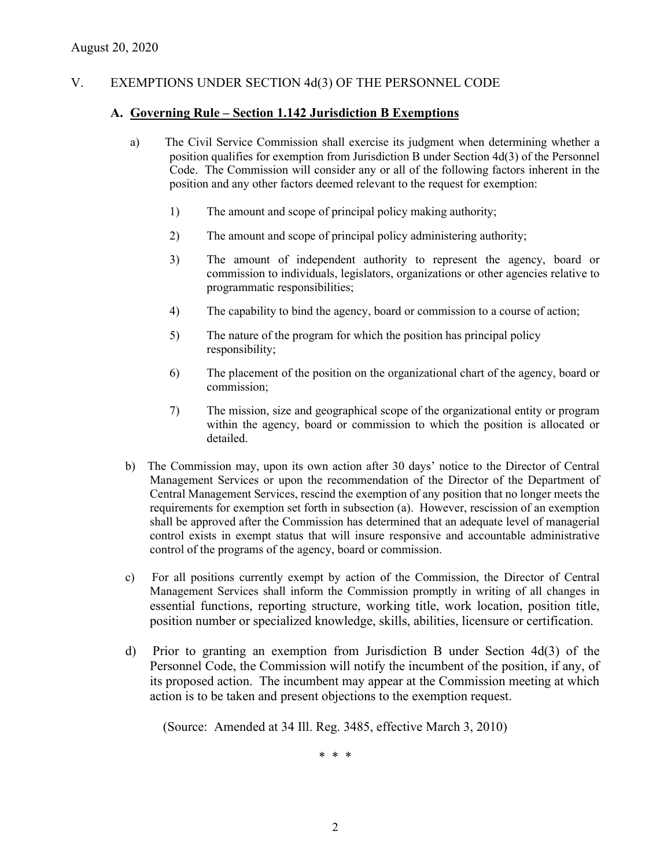## V. EXEMPTIONS UNDER SECTION 4d(3) OF THE PERSONNEL CODE

#### **A. Governing Rule – Section 1.142 Jurisdiction B Exemptions**

- a) The Civil Service Commission shall exercise its judgment when determining whether a position qualifies for exemption from Jurisdiction B under Section 4d(3) of the Personnel Code. The Commission will consider any or all of the following factors inherent in the position and any other factors deemed relevant to the request for exemption:
	- 1) The amount and scope of principal policy making authority;
	- 2) The amount and scope of principal policy administering authority;
	- 3) The amount of independent authority to represent the agency, board or commission to individuals, legislators, organizations or other agencies relative to programmatic responsibilities;
	- 4) The capability to bind the agency, board or commission to a course of action;
	- 5) The nature of the program for which the position has principal policy responsibility;
	- 6) The placement of the position on the organizational chart of the agency, board or commission;
	- 7) The mission, size and geographical scope of the organizational entity or program within the agency, board or commission to which the position is allocated or detailed.
- b) The Commission may, upon its own action after 30 days' notice to the Director of Central Management Services or upon the recommendation of the Director of the Department of Central Management Services, rescind the exemption of any position that no longer meets the requirements for exemption set forth in subsection (a). However, rescission of an exemption shall be approved after the Commission has determined that an adequate level of managerial control exists in exempt status that will insure responsive and accountable administrative control of the programs of the agency, board or commission.
- c) For all positions currently exempt by action of the Commission, the Director of Central Management Services shall inform the Commission promptly in writing of all changes in essential functions, reporting structure, working title, work location, position title, position number or specialized knowledge, skills, abilities, licensure or certification.
- d) Prior to granting an exemption from Jurisdiction B under Section 4d(3) of the Personnel Code, the Commission will notify the incumbent of the position, if any, of its proposed action. The incumbent may appear at the Commission meeting at which action is to be taken and present objections to the exemption request.

(Source: Amended at 34 Ill. Reg. 3485, effective March 3, 2010)

\* \* \*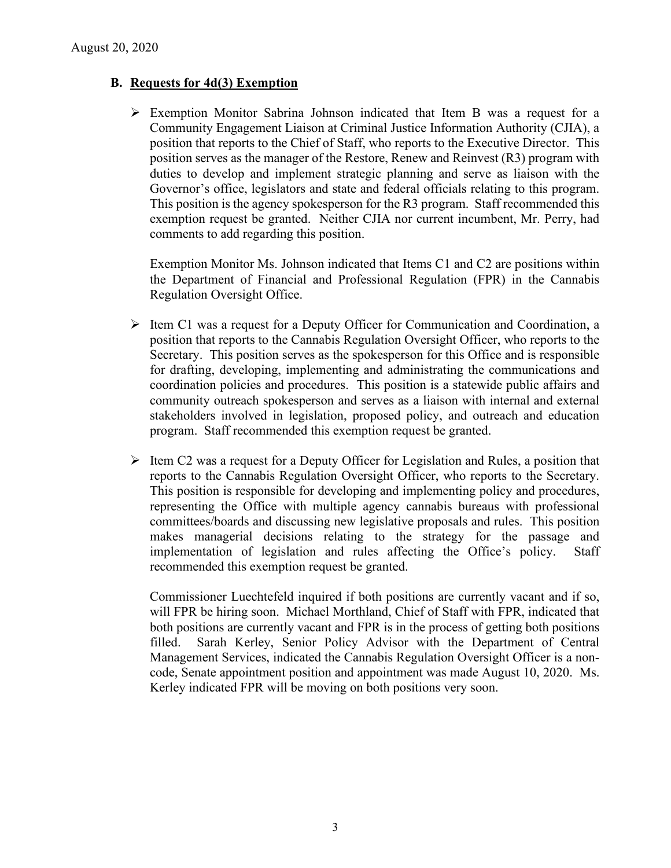## **B. Requests for 4d(3) Exemption**

 $\triangleright$  Exemption Monitor Sabrina Johnson indicated that Item B was a request for a Community Engagement Liaison at Criminal Justice Information Authority (CJIA), a position that reports to the Chief of Staff, who reports to the Executive Director. This position serves as the manager of the Restore, Renew and Reinvest (R3) program with duties to develop and implement strategic planning and serve as liaison with the Governor's office, legislators and state and federal officials relating to this program. This position is the agency spokesperson for the R3 program. Staff recommended this exemption request be granted. Neither CJIA nor current incumbent, Mr. Perry, had comments to add regarding this position.

Exemption Monitor Ms. Johnson indicated that Items C1 and C2 are positions within the Department of Financial and Professional Regulation (FPR) in the Cannabis Regulation Oversight Office.

- $\triangleright$  Item C1 was a request for a Deputy Officer for Communication and Coordination, a position that reports to the Cannabis Regulation Oversight Officer, who reports to the Secretary. This position serves as the spokesperson for this Office and is responsible for drafting, developing, implementing and administrating the communications and coordination policies and procedures. This position is a statewide public affairs and community outreach spokesperson and serves as a liaison with internal and external stakeholders involved in legislation, proposed policy, and outreach and education program. Staff recommended this exemption request be granted.
- $\triangleright$  Item C2 was a request for a Deputy Officer for Legislation and Rules, a position that reports to the Cannabis Regulation Oversight Officer, who reports to the Secretary. This position is responsible for developing and implementing policy and procedures, representing the Office with multiple agency cannabis bureaus with professional committees/boards and discussing new legislative proposals and rules. This position makes managerial decisions relating to the strategy for the passage and implementation of legislation and rules affecting the Office's policy. Staff recommended this exemption request be granted.

Commissioner Luechtefeld inquired if both positions are currently vacant and if so, will FPR be hiring soon. Michael Morthland, Chief of Staff with FPR, indicated that both positions are currently vacant and FPR is in the process of getting both positions filled. Sarah Kerley, Senior Policy Advisor with the Department of Central Management Services, indicated the Cannabis Regulation Oversight Officer is a noncode, Senate appointment position and appointment was made August 10, 2020. Ms. Kerley indicated FPR will be moving on both positions very soon.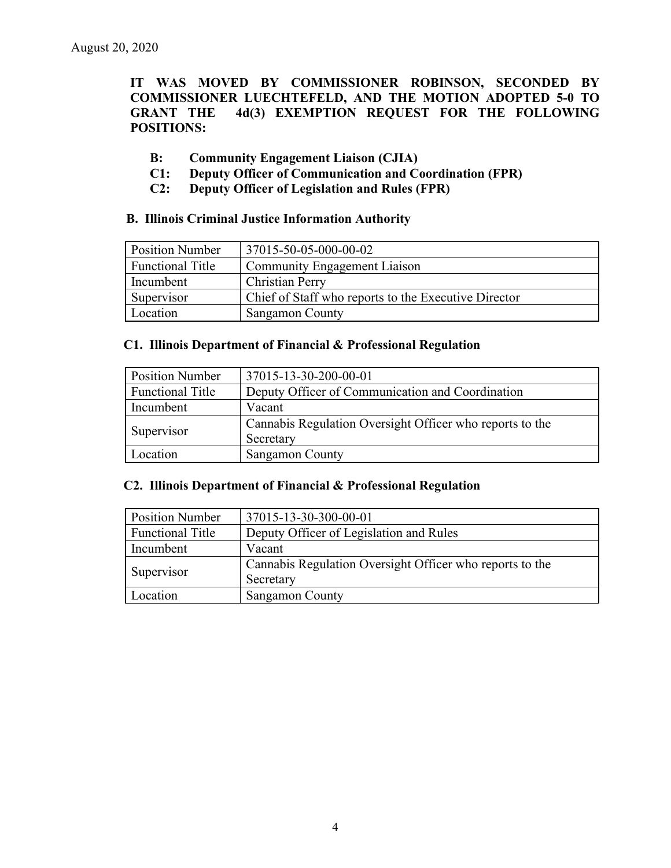**IT WAS MOVED BY COMMISSIONER ROBINSON, SECONDED BY COMMISSIONER LUECHTEFELD, AND THE MOTION ADOPTED 5-0 TO GRANT THE 4d(3) EXEMPTION REQUEST FOR THE FOLLOWING POSITIONS:**

- **B: Community Engagement Liaison (CJIA)**
- **C1: Deputy Officer of Communication and Coordination (FPR)**
- **C2: Deputy Officer of Legislation and Rules (FPR)**

#### **B. Illinois Criminal Justice Information Authority**

| <b>Position Number</b> | 37015-50-05-000-00-02                                |
|------------------------|------------------------------------------------------|
| Functional Title       | <b>Community Engagement Liaison</b>                  |
| Incumbent              | <b>Christian Perry</b>                               |
| Supervisor             | Chief of Staff who reports to the Executive Director |
| Location               | <b>Sangamon County</b>                               |

#### **C1. Illinois Department of Financial & Professional Regulation**

| <b>Position Number</b>  | 37015-13-30-200-00-01                                    |
|-------------------------|----------------------------------------------------------|
| <b>Functional Title</b> | Deputy Officer of Communication and Coordination         |
| Incumbent               | Vacant                                                   |
| Supervisor              | Cannabis Regulation Oversight Officer who reports to the |
|                         | Secretary                                                |
| Location                | <b>Sangamon County</b>                                   |

### **C2. Illinois Department of Financial & Professional Regulation**

| <b>Position Number</b>  | 37015-13-30-300-00-01                                                 |
|-------------------------|-----------------------------------------------------------------------|
| <b>Functional Title</b> | Deputy Officer of Legislation and Rules                               |
| Incumbent               | Vacant                                                                |
| Supervisor              | Cannabis Regulation Oversight Officer who reports to the<br>Secretary |
| Location                | <b>Sangamon County</b>                                                |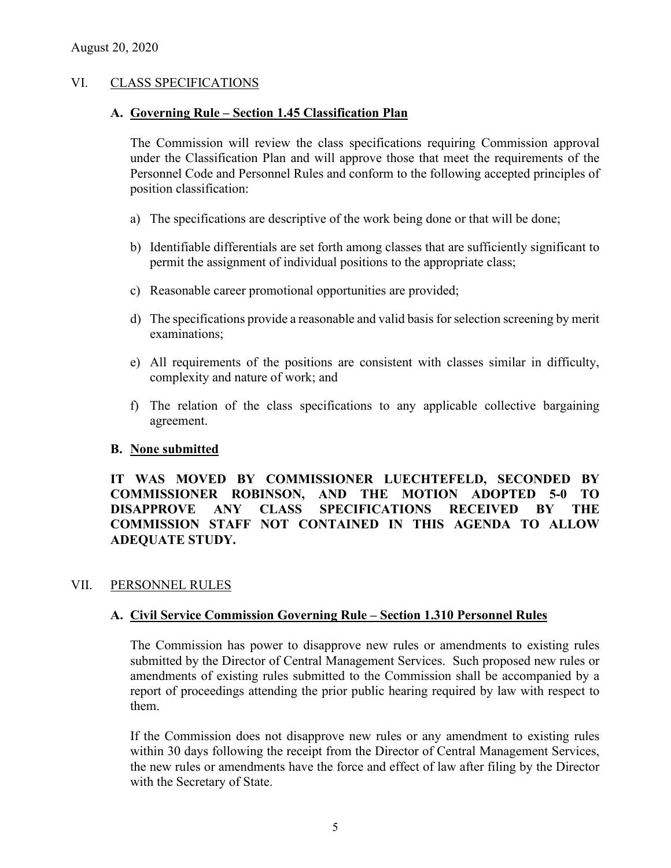### VI. CLASS SPECIFICATIONS

#### **A. Governing Rule – Section 1.45 Classification Plan**

The Commission will review the class specifications requiring Commission approval under the Classification Plan and will approve those that meet the requirements of the Personnel Code and Personnel Rules and conform to the following accepted principles of position classification:

- a) The specifications are descriptive of the work being done or that will be done;
- b) Identifiable differentials are set forth among classes that are sufficiently significant to permit the assignment of individual positions to the appropriate class;
- c) Reasonable career promotional opportunities are provided;
- d) The specifications provide a reasonable and valid basis for selection screening by merit examinations;
- e) All requirements of the positions are consistent with classes similar in difficulty, complexity and nature of work; and
- f) The relation of the class specifications to any applicable collective bargaining agreement.

### **B. None submitted**

**IT WAS MOVED BY COMMISSIONER LUECHTEFELD, SECONDED BY COMMISSIONER ROBINSON, AND THE MOTION ADOPTED 5-0 TO DISAPPROVE ANY CLASS SPECIFICATIONS RECEIVED BY THE COMMISSION STAFF NOT CONTAINED IN THIS AGENDA TO ALLOW ADEQUATE STUDY.** 

### VII. PERSONNEL RULES

### **A. Civil Service Commission Governing Rule – Section 1.310 Personnel Rules**

The Commission has power to disapprove new rules or amendments to existing rules submitted by the Director of Central Management Services. Such proposed new rules or amendments of existing rules submitted to the Commission shall be accompanied by a report of proceedings attending the prior public hearing required by law with respect to them.

If the Commission does not disapprove new rules or any amendment to existing rules within 30 days following the receipt from the Director of Central Management Services, the new rules or amendments have the force and effect of law after filing by the Director with the Secretary of State.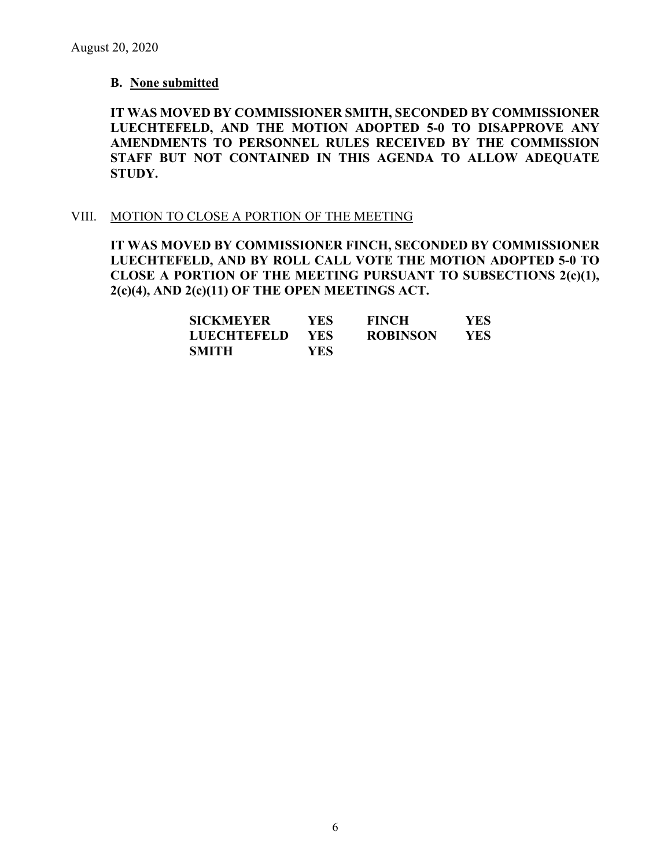#### **B. None submitted**

**IT WAS MOVED BY COMMISSIONER SMITH, SECONDED BY COMMISSIONER LUECHTEFELD, AND THE MOTION ADOPTED 5-0 TO DISAPPROVE ANY AMENDMENTS TO PERSONNEL RULES RECEIVED BY THE COMMISSION STAFF BUT NOT CONTAINED IN THIS AGENDA TO ALLOW ADEQUATE STUDY.** 

#### VIII. MOTION TO CLOSE A PORTION OF THE MEETING

**IT WAS MOVED BY COMMISSIONER FINCH, SECONDED BY COMMISSIONER LUECHTEFELD, AND BY ROLL CALL VOTE THE MOTION ADOPTED 5-0 TO CLOSE A PORTION OF THE MEETING PURSUANT TO SUBSECTIONS 2(c)(1), 2(c)(4), AND 2(c)(11) OF THE OPEN MEETINGS ACT.**

| <b>SICKMEYER</b>   | YES- | <b>FINCH</b>    | YES |
|--------------------|------|-----------------|-----|
| <b>LUECHTEFELD</b> | YES. | <b>ROBINSON</b> | YES |
| <b>SMITH</b>       | YES  |                 |     |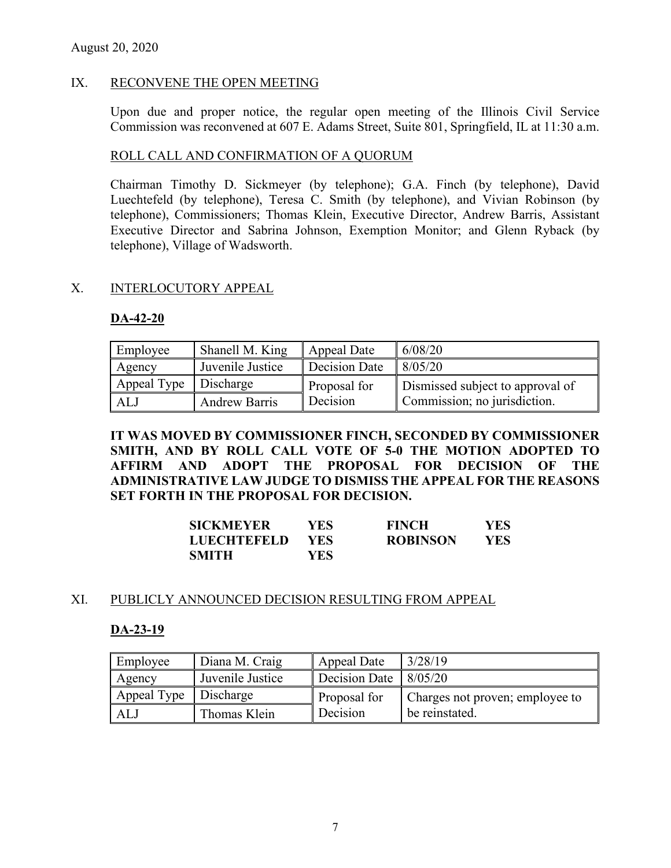## IX. RECONVENE THE OPEN MEETING

Upon due and proper notice, the regular open meeting of the Illinois Civil Service Commission was reconvened at 607 E. Adams Street, Suite 801, Springfield, IL at 11:30 a.m.

### ROLL CALL AND CONFIRMATION OF A QUORUM

Chairman Timothy D. Sickmeyer (by telephone); G.A. Finch (by telephone), David Luechtefeld (by telephone), Teresa C. Smith (by telephone), and Vivian Robinson (by telephone), Commissioners; Thomas Klein, Executive Director, Andrew Barris, Assistant Executive Director and Sabrina Johnson, Exemption Monitor; and Glenn Ryback (by telephone), Village of Wadsworth.

### X. INTERLOCUTORY APPEAL

### **DA-42-20**

| Employee                | Shanell M. King      | Appeal Date   | 6/08/20                          |
|-------------------------|----------------------|---------------|----------------------------------|
| Agency                  | Juvenile Justice     | Decision Date | 8/05/20                          |
| Appeal Type   Discharge |                      | Proposal for  | Dismissed subject to approval of |
| ALJ                     | <b>Andrew Barris</b> | Decision      | Commission; no jurisdiction.     |

**IT WAS MOVED BY COMMISSIONER FINCH, SECONDED BY COMMISSIONER SMITH, AND BY ROLL CALL VOTE OF 5-0 THE MOTION ADOPTED TO AFFIRM AND ADOPT THE PROPOSAL FOR DECISION OF THE ADMINISTRATIVE LAW JUDGE TO DISMISS THE APPEAL FOR THE REASONS SET FORTH IN THE PROPOSAL FOR DECISION.**

| <b>SICKMEYER</b>   | YES | <b>FINCH</b>    | YES.       |
|--------------------|-----|-----------------|------------|
| <b>LUECHTEFELD</b> | YES | <b>ROBINSON</b> | <b>YES</b> |
| <b>SMITH</b>       | YES |                 |            |

### XI. PUBLICLY ANNOUNCED DECISION RESULTING FROM APPEAL

### **DA-23-19**

| Employee    | Diana M. Craig   | Appeal Date                         | 3/28/19                         |
|-------------|------------------|-------------------------------------|---------------------------------|
| Agency      | Juvenile Justice | Decision Date $\vert 8/05/20 \vert$ |                                 |
| Appeal Type | Discharge        | Proposal for                        | Charges not proven; employee to |
| ALJ         | Thomas Klein     | Decision                            | be reinstated.                  |